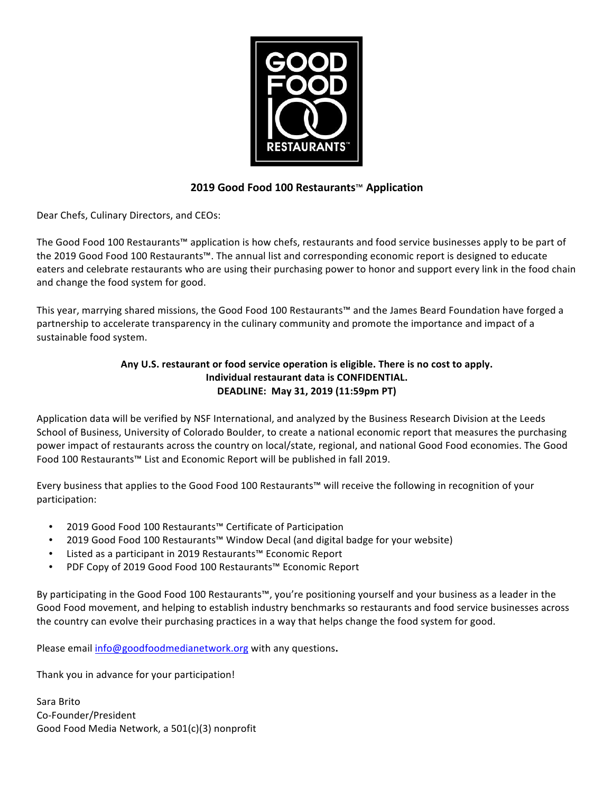

# **2019 Good Food 100 Restaurants**™ **Application**

Dear Chefs, Culinary Directors, and CEOs:

The Good Food 100 Restaurants™ application is how chefs, restaurants and food service businesses apply to be part of the 2019 Good Food 100 Restaurants™. The annual list and corresponding economic report is designed to educate eaters and celebrate restaurants who are using their purchasing power to honor and support every link in the food chain and change the food system for good.

This year, marrying shared missions, the Good Food 100 Restaurants™ and the James Beard Foundation have forged a partnership to accelerate transparency in the culinary community and promote the importance and impact of a sustainable food system.

# Any U.S. restaurant or food service operation is eligible. There is no cost to apply. **Individual restaurant data is CONFIDENTIAL. DEADLINE: May 31, 2019 (11:59pm PT)**

Application data will be verified by NSF International, and analyzed by the Business Research Division at the Leeds School of Business, University of Colorado Boulder, to create a national economic report that measures the purchasing power impact of restaurants across the country on local/state, regional, and national Good Food economies. The Good Food 100 Restaurants™ List and Economic Report will be published in fall 2019.

Every business that applies to the Good Food 100 Restaurants™ will receive the following in recognition of your participation: 

- 2019 Good Food 100 Restaurants™ Certificate of Participation
- 2019 Good Food 100 Restaurants™ Window Decal (and digital badge for your website)
- Listed as a participant in 2019 Restaurants™ Economic Report
- PDF Copy of 2019 Good Food 100 Restaurants™ Economic Report

By participating in the Good Food 100 Restaurants™, you're positioning yourself and your business as a leader in the Good Food movement, and helping to establish industry benchmarks so restaurants and food service businesses across the country can evolve their purchasing practices in a way that helps change the food system for good.

Please email info@goodfoodmedianetwork.org with any questions.

Thank you in advance for your participation!

Sara Brito Co-Founder/President Good Food Media Network, a 501(c)(3) nonprofit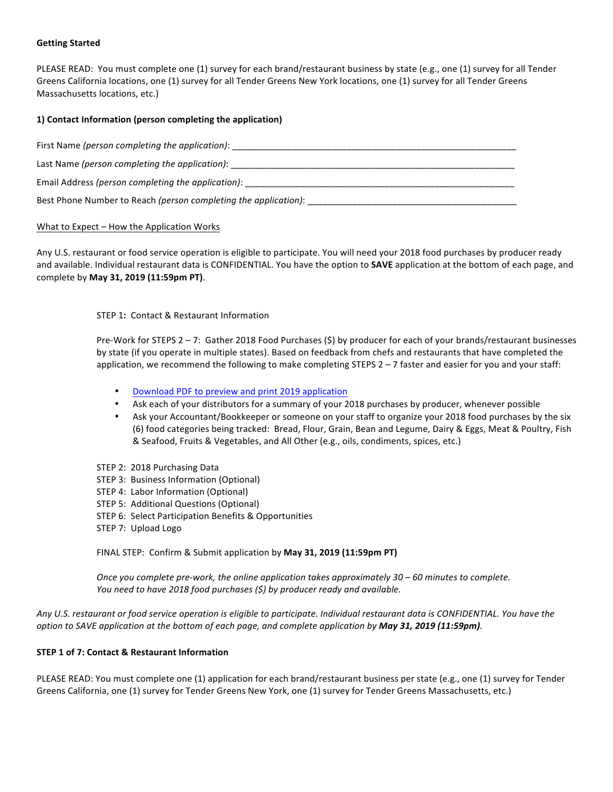# **Getting Started**

PLEASE READ: You must complete one (1) survey for each brand/restaurant business by state (e.g., one (1) survey for all Tender Greens California locations, one (1) survey for all Tender Greens New York locations, one (1) survey for all Tender Greens Massachusetts locations, etc.)

## **1) Contact Information (person completing the application)**

| First Name (person completing the application):                 |
|-----------------------------------------------------------------|
| Last Name (person completing the application):                  |
| Email Address (person completing the application):              |
| Best Phone Number to Reach (person completing the application): |

### What to  $Expected$  – How the Application Works

Any U.S. restaurant or food service operation is eligible to participate. You will need your 2018 food purchases by producer ready and available. Individual restaurant data is CONFIDENTIAL. You have the option to **SAVE** application at the bottom of each page, and complete by **May 31, 2019 (11:59pm PT)**. 

**STEP 1: Contact & Restaurant Information** 

Pre-Work for STEPS  $2 - 7$ : Gather 2018 Food Purchases  $(5)$  by producer for each of your brands/restaurant businesses by state (if you operate in multiple states). Based on feedback from chefs and restaurants that have completed the application, we recommend the following to make completing STEPS  $2 - 7$  faster and easier for you and your staff:

- Download PDF to preview and print 2019 application
- Ask each of your distributors for a summary of your 2018 purchases by producer, whenever possible
- Ask your Accountant/Bookkeeper or someone on your staff to organize your 2018 food purchases by the six (6) food categories being tracked: Bread, Flour, Grain, Bean and Legume, Dairy & Eggs, Meat & Poultry, Fish & Seafood, Fruits & Vegetables, and All Other (e.g., oils, condiments, spices, etc.)
- STEP 2: 2018 Purchasing Data
- STEP 3: Business Information (Optional)
- STEP 4: Labor Information (Optional)
- STEP 5: Additional Questions (Optional)
- STEP 6: Select Participation Benefits & Opportunities
- STEP 7: Upload Logo

FINAL STEP: Confirm & Submit application by May 31, 2019 (11:59pm PT)

*Once you complete pre-work, the online application takes approximately* 30 – 60 minutes to complete. *You need to have 2018 food purchases* (\$) by producer ready and available.

Any U.S. restaurant or food service operation is eligible to participate. Individual restaurant data is CONFIDENTIAL. You have the *option to SAVE application at the bottom of each page, and complete application by May 31, 2019 (11:59pm)*.

#### **STEP 1 of 7: Contact & Restaurant Information**

PLEASE READ: You must complete one (1) application for each brand/restaurant business per state (e.g., one (1) survey for Tender Greens California, one (1) survey for Tender Greens New York, one (1) survey for Tender Greens Massachusetts, etc.)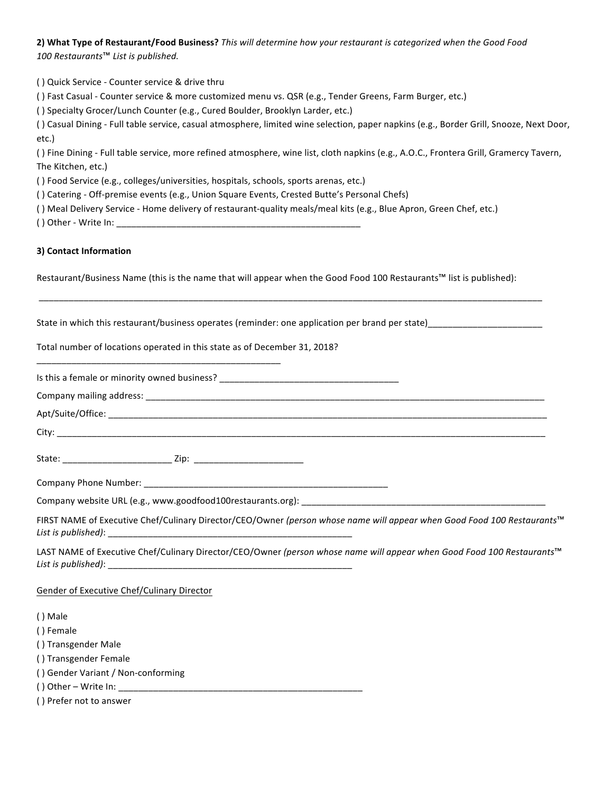2) What Type of Restaurant/Food Business? This will determine how your restaurant is categorized when the Good Food 100 Restaurants<sup>™</sup> List is published.

() Quick Service - Counter service & drive thru () Fast Casual - Counter service & more customized menu vs. QSR (e.g., Tender Greens, Farm Burger, etc.) () Specialty Grocer/Lunch Counter (e.g., Cured Boulder, Brooklyn Larder, etc.) () Casual Dining - Full table service, casual atmosphere, limited wine selection, paper napkins (e.g., Border Grill, Snooze, Next Door, etc.) () Fine Dining - Full table service, more refined atmosphere, wine list, cloth napkins (e.g., A.O.C., Frontera Grill, Gramercy Tavern, The Kitchen, etc.) () Food Service (e.g., colleges/universities, hospitals, schools, sports arenas, etc.) () Catering - Off-premise events (e.g., Union Square Events, Crested Butte's Personal Chefs)

- ( ) Meal Delivery Service Home delivery of restaurant-quality meals/meal kits (e.g., Blue Apron, Green Chef, etc.)
- $( )$  Other Write In:

# **3) Contact Information**

Restaurant/Business Name (this is the name that will appear when the Good Food 100 Restaurants™ list is published):

\_\_\_\_\_\_\_\_\_\_\_\_\_\_\_\_\_\_\_\_\_\_\_\_\_\_\_\_\_\_\_\_\_\_\_\_\_\_\_\_\_\_\_\_\_\_\_\_\_\_\_\_\_\_\_\_\_\_\_\_\_\_\_\_\_\_\_\_\_\_\_\_\_\_\_\_\_\_\_\_\_\_\_\_\_\_\_\_\_\_\_\_\_\_\_\_\_\_\_\_\_

State in which this restaurant/business operates (reminder: one application per brand per state)\_\_\_\_\_\_\_\_\_\_\_\_\_\_\_\_\_\_\_\_

Total number of locations operated in this state as of December 31, 2018?

\_\_\_\_\_\_\_\_\_\_\_\_\_\_\_\_\_\_\_\_\_\_\_\_\_\_\_\_\_\_\_\_\_\_\_\_\_\_\_\_\_\_\_\_\_\_\_\_\_

FIRST NAME of Executive Chef/Culinary Director/CEO/Owner *(person whose name will appear when Good Food 100 Restaurants*™ List is published):

LAST NAME of Executive Chef/Culinary Director/CEO/Owner *(person whose name will appear when Good Food 100 Restaurants*™ *List is published)*: \_\_\_\_\_\_\_\_\_\_\_\_\_\_\_\_\_\_\_\_\_\_\_\_\_\_\_\_\_\_\_\_\_\_\_\_\_\_\_\_\_\_\_\_\_\_\_\_\_

#### Gender of Executive Chef/Culinary Director

( ) Male

- ( ) Female
- () Transgender Male
- () Transgender Female
- ( ) Gender Variant / Non-conforming
- () Other Write  $\ln$ :
- ( ) Prefer not to answer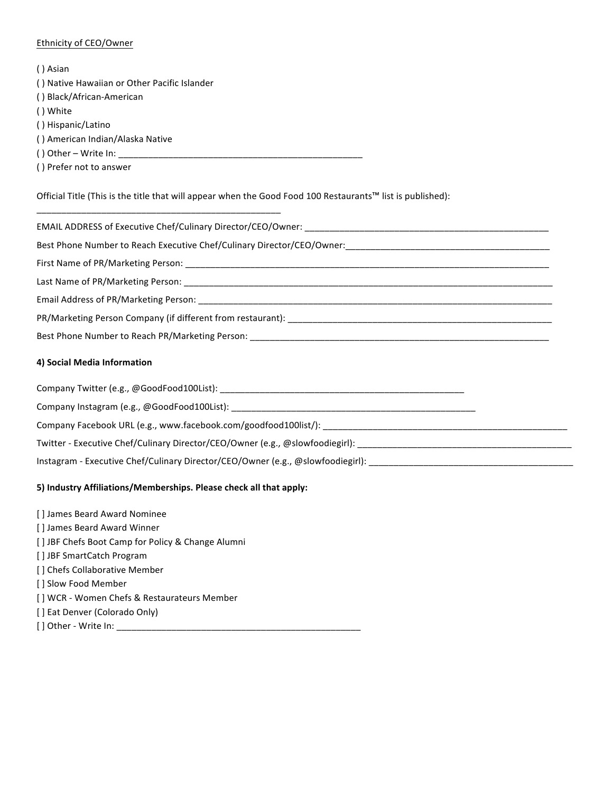# Ethnicity of CEO/Owner

( ) Asian

- ( ) Native Hawaiian or Other Pacific Islander
- () Black/African-American
- () White
- () Hispanic/Latino
- ( ) American Indian/Alaska Native
- ( ) Other Write  $In:$
- ( ) Prefer not to answer

Official Title (This is the title that will appear when the Good Food 100 Restaurants™ list is published):

EMAIL ADDRESS of Executive Chef/Culinary Director/CEO/Owner:

\_\_\_\_\_\_\_\_\_\_\_\_\_\_\_\_\_\_\_\_\_\_\_\_\_\_\_\_\_\_\_\_\_\_\_\_\_\_\_\_\_\_\_\_\_\_\_\_\_

Best Phone Number to Reach Executive Chef/Culinary Director/CEO/Owner:

First Name of PR/Marketing Person:

Last Name of PR/Marketing Person:

Email Address of PR/Marketing Person: \_\_\_\_\_\_\_\_\_\_\_\_\_

PR/Marketing Person Company (if different from restaurant): \_\_\_\_\_\_\_\_\_\_\_\_\_\_\_\_\_\_\_\_\_\_\_\_\_\_\_\_\_\_\_\_\_\_\_\_\_\_\_\_\_\_\_\_\_\_\_\_\_\_\_\_\_

Best Phone Number to Reach PR/Marketing Person: \_\_\_\_\_\_\_\_\_\_\_\_\_\_\_\_\_\_\_\_\_\_\_\_\_\_\_\_\_\_\_\_

# **4) Social Media Information**

Company Twitter (e.g., @GoodFood100List): \_\_\_\_\_\_\_\_\_\_\_\_\_\_\_\_\_\_\_\_\_\_\_\_\_\_\_\_\_\_\_\_\_\_\_\_\_\_\_\_\_\_\_\_\_\_\_\_\_

Company Instagram (e.g., @GoodFood100List): \_\_\_\_\_\_\_\_\_\_\_\_\_\_\_

Company Facebook URL (e.g., www.facebook.com/goodfood100list/): \_\_\_\_\_\_\_\_\_\_\_\_\_\_\_\_\_\_\_\_\_\_\_\_\_\_\_\_\_\_\_\_\_\_\_\_\_\_\_\_\_\_\_\_\_\_\_\_\_

Twitter - Executive Chef/Culinary Director/CEO/Owner (e.g., @slowfoodiegirl):

Instagram - Executive Chef/Culinary Director/CEO/Owner (e.g., @slowfoodiegirl):

# **5) Industry Affiliations/Memberships. Please check all that apply:**

[] James Beard Award Nominee [] James Beard Award Winner [] JBF Chefs Boot Camp for Policy & Change Alumni [] JBF SmartCatch Program [] Chefs Collaborative Member [] Slow Food Member [] WCR - Women Chefs & Restaurateurs Member [] Eat Denver (Colorado Only) [ ] Other - Write In: \_\_\_\_\_\_\_\_\_\_\_\_\_\_\_\_\_\_\_\_\_\_\_\_\_\_\_\_\_\_\_\_\_\_\_\_\_\_\_\_\_\_\_\_\_\_\_\_\_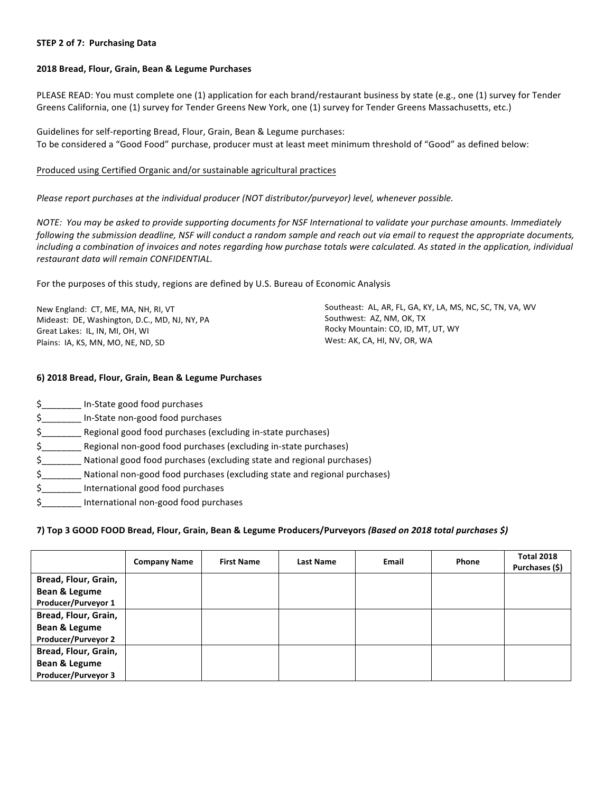### **STEP 2 of 7: Purchasing Data**

#### **2018 Bread, Flour, Grain, Bean & Legume Purchases**

PLEASE READ: You must complete one (1) application for each brand/restaurant business by state (e.g., one (1) survey for Tender Greens California, one (1) survey for Tender Greens New York, one (1) survey for Tender Greens Massachusetts, etc.)

Guidelines for self-reporting Bread, Flour, Grain, Bean & Legume purchases: To be considered a "Good Food" purchase, producer must at least meet minimum threshold of "Good" as defined below:

#### Produced using Certified Organic and/or sustainable agricultural practices

### Please report purchases at the individual producer (NOT distributor/purveyor) level, whenever possible.

*NOTE: You may be asked to provide supporting documents for NSF International to validate your purchase amounts. Immediately* following the submission deadline, NSF will conduct a random sample and reach out via email to request the appropriate documents, including a combination of invoices and notes regarding how purchase totals were calculated. As stated in the application, individual *restaurant data will remain CONFIDENTIAL.*

For the purposes of this study, regions are defined by U.S. Bureau of Economic Analysis

New England: CT, ME, MA, NH, RI, VT Mideast: DE, Washington, D.C., MD, NJ, NY, PA Great Lakes: IL, IN, MI, OH, WI Plains: IA, KS, MN, MO, NE, ND, SD

Southeast: AL, AR, FL, GA, KY, LA, MS, NC, SC, TN, VA, WV Southwest: AZ, NM, OK, TX Rocky Mountain: CO, ID, MT, UT, WY West: AK, CA, HI, NV, OR, WA

# **6) 2018 Bread, Flour, Grain, Bean & Legume Purchases**

\$\_\_\_\_\_\_\_\_ In-State good food purchases \$\_\_\_\_\_\_\_\_ In-State non-good food purchases \$ Regional good food purchases (excluding in-state purchases) \$\_\_\_\_\_\_\_\_ Regional non-good food purchases (excluding in-state purchases) \$\_\_\_\_\_\_\_\_ National good food purchases (excluding state and regional purchases) \$ National non-good food purchases (excluding state and regional purchases) \$ 1000 International good food purchases \$\_\_\_\_\_\_\_\_ International non-good food purchases

# **7) Top 3 GOOD FOOD Bread, Flour, Grain, Bean & Legume Producers/Purveyors** *(Based on 2018 total purchases \$)*

|                            | <b>Company Name</b> | <b>First Name</b> | <b>Last Name</b> | <b>Email</b> | Phone | <b>Total 2018</b><br>Purchases (\$) |
|----------------------------|---------------------|-------------------|------------------|--------------|-------|-------------------------------------|
| Bread, Flour, Grain,       |                     |                   |                  |              |       |                                     |
| <b>Bean &amp; Legume</b>   |                     |                   |                  |              |       |                                     |
| Producer/Purveyor 1        |                     |                   |                  |              |       |                                     |
| Bread, Flour, Grain,       |                     |                   |                  |              |       |                                     |
| Bean & Legume              |                     |                   |                  |              |       |                                     |
| <b>Producer/Purveyor 2</b> |                     |                   |                  |              |       |                                     |
| Bread, Flour, Grain,       |                     |                   |                  |              |       |                                     |
| Bean & Legume              |                     |                   |                  |              |       |                                     |
| Producer/Purveyor 3        |                     |                   |                  |              |       |                                     |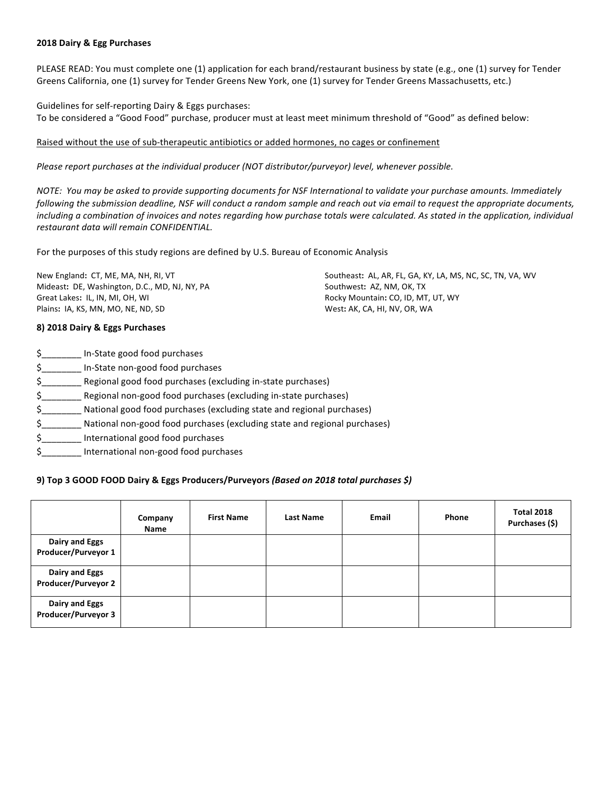### **2018 Dairy & Egg Purchases**

PLEASE READ: You must complete one (1) application for each brand/restaurant business by state (e.g., one (1) survey for Tender Greens California, one (1) survey for Tender Greens New York, one (1) survey for Tender Greens Massachusetts, etc.)

Guidelines for self-reporting Dairy & Eggs purchases: To be considered a "Good Food" purchase, producer must at least meet minimum threshold of "Good" as defined below:

#### Raised without the use of sub-therapeutic antibiotics or added hormones, no cages or confinement

*Please report purchases at the individual producer (NOT distributor/purveyor) level, whenever possible.* 

*NOTE:* You may be asked to provide supporting documents for NSF International to validate your purchase amounts. Immediately *following* the submission deadline, NSF will conduct a random sample and reach out via email to request the appropriate documents, *including a combination of invoices and notes regarding how purchase totals were calculated. As stated in the application, individual restaurant data will remain CONFIDENTIAL.*

For the purposes of this study regions are defined by U.S. Bureau of Economic Analysis

New England: CT, ME, MA, NH, RI, VT Mideast: DE, Washington, D.C., MD, NJ, NY, PA Great Lakes: IL, IN, MI, OH, WI Plains: IA, KS, MN, MO, NE, ND, SD

Southeast: AL, AR, FL, GA, KY, LA, MS, NC, SC, TN, VA, WV Southwest: AZ, NM, OK, TX Rocky Mountain: CO, ID, MT, UT, WY West: AK, CA, HI, NV, OR, WA

# **8) 2018 Dairy & Eggs Purchases**

| In-State good food purchases                                              |
|---------------------------------------------------------------------------|
| In-State non-good food purchases                                          |
| Regional good food purchases (excluding in-state purchases)               |
| Regional non-good food purchases (excluding in-state purchases)           |
| National good food purchases (excluding state and regional purchases)     |
| National non-good food purchases (excluding state and regional purchases) |
| International good food purchases                                         |
| International non-good food purchases                                     |
|                                                                           |

# **9) Top 3 GOOD FOOD Dairy & Eggs Producers/Purveyors** *(Based on 2018 total purchases \$)*

|                                              | Company<br>Name | <b>First Name</b> | <b>Last Name</b> | Email | Phone | <b>Total 2018</b><br>Purchases (\$) |
|----------------------------------------------|-----------------|-------------------|------------------|-------|-------|-------------------------------------|
| Dairy and Eggs<br>Producer/Purveyor 1        |                 |                   |                  |       |       |                                     |
| Dairy and Eggs<br><b>Producer/Purveyor 2</b> |                 |                   |                  |       |       |                                     |
| Dairy and Eggs<br>Producer/Purveyor 3        |                 |                   |                  |       |       |                                     |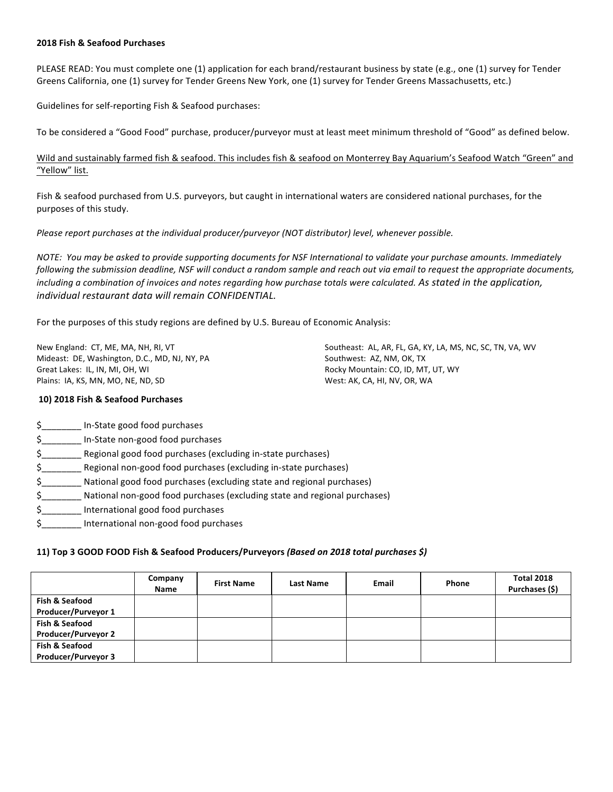### **2018 Fish & Seafood Purchases**

PLEASE READ: You must complete one (1) application for each brand/restaurant business by state (e.g., one (1) survey for Tender Greens California, one (1) survey for Tender Greens New York, one (1) survey for Tender Greens Massachusetts, etc.)

Guidelines for self-reporting Fish & Seafood purchases:

To be considered a "Good Food" purchase, producer/purveyor must at least meet minimum threshold of "Good" as defined below.

Wild and sustainably farmed fish & seafood. This includes fish & seafood on Monterrey Bay Aquarium's Seafood Watch "Green" and "Yellow" list.

Fish & seafood purchased from U.S. purveyors, but caught in international waters are considered national purchases, for the purposes of this study.

*Please report purchases at the individual producer/purveyor (NOT distributor)* level, whenever possible.

*NOTE:* You may be asked to provide supporting documents for NSF International to validate your purchase amounts. Immediately following the submission deadline, NSF will conduct a random sample and reach out via email to request the appropriate documents, *including a combination of invoices and notes regarding how purchase totals were calculated. As stated in the application, individual restaurant data will remain CONFIDENTIAL.*

For the purposes of this study regions are defined by U.S. Bureau of Economic Analysis:

New England: CT, ME, MA, NH, RI, VT Mideast: DE, Washington, D.C., MD, NJ, NY, PA Great Lakes: IL, IN, MI, OH, WI Plains: IA, KS, MN, MO, NE, ND, SD

Southeast: AL, AR, FL, GA, KY, LA, MS, NC, SC, TN, VA, WV Southwest: AZ, NM, OK, TX Rocky Mountain: CO, ID, MT, UT, WY West: AK, CA, HI, NV, OR, WA

## **10) 2018 Fish & Seafood Purchases**

\$\_\_\_\_\_\_\_\_ In-State good food purchases \$ 1n-State non-good food purchases \$ Regional good food purchases (excluding in-state purchases) \$ \_\_\_\_\_\_\_\_ Regional non-good food purchases (excluding in-state purchases) \$\_\_\_\_\_\_\_\_ National good food purchases (excluding state and regional purchases) \$\_\_\_\_\_\_\_\_\_\_\_ National non-good food purchases (excluding state and regional purchases) \$ 1000 International good food purchases \$\_\_\_\_\_\_\_\_ International non-good food purchases

# **11) Top 3 GOOD FOOD Fish & Seafood Producers/Purveyors** *(Based on 2018 total purchases \$)*

|                            | Company<br><b>Name</b> | <b>First Name</b> | <b>Last Name</b> | Email | Phone | <b>Total 2018</b><br>Purchases (\$) |
|----------------------------|------------------------|-------------------|------------------|-------|-------|-------------------------------------|
| Fish & Seafood             |                        |                   |                  |       |       |                                     |
| Producer/Purveyor 1        |                        |                   |                  |       |       |                                     |
| Fish & Seafood             |                        |                   |                  |       |       |                                     |
| <b>Producer/Purveyor 2</b> |                        |                   |                  |       |       |                                     |
| Fish & Seafood             |                        |                   |                  |       |       |                                     |
| <b>Producer/Purveyor 3</b> |                        |                   |                  |       |       |                                     |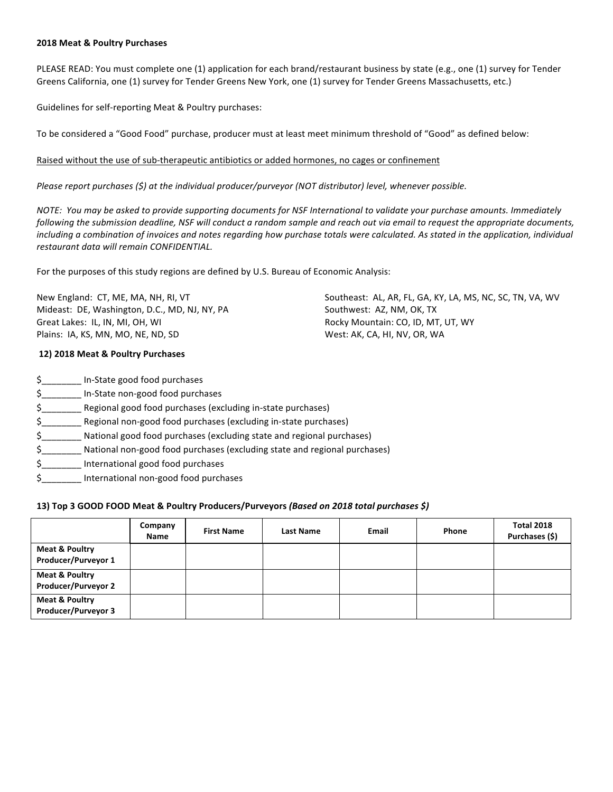#### **2018 Meat & Poultry Purchases**

PLEASE READ: You must complete one (1) application for each brand/restaurant business by state (e.g., one (1) survey for Tender Greens California, one (1) survey for Tender Greens New York, one (1) survey for Tender Greens Massachusetts, etc.)

Guidelines for self-reporting Meat & Poultry purchases:

To be considered a "Good Food" purchase, producer must at least meet minimum threshold of "Good" as defined below:

Raised without the use of sub-therapeutic antibiotics or added hormones, no cages or confinement

*Please report purchases* (\$) at the individual producer/purveyor (NOT distributor) level, whenever possible.

*NOTE: You may be asked to provide supporting documents for NSF International to validate your purchase amounts. Immediately* following the submission deadline, NSF will conduct a random sample and reach out via email to request the appropriate documents, including a combination of invoices and notes regarding how purchase totals were calculated. As stated in the application, individual *restaurant data will remain CONFIDENTIAL.*

For the purposes of this study regions are defined by U.S. Bureau of Economic Analysis:

New England: CT, ME, MA, NH, RI, VT Mideast: DE, Washington, D.C., MD, NJ, NY, PA Great Lakes: IL, IN, MI, OH, WI Plains: IA, KS, MN, MO, NE, ND, SD

### **12) 2018 Meat & Poultry Purchases**

Southeast: AL, AR, FL, GA, KY, LA, MS, NC, SC, TN, VA, WV Southwest: AZ, NM, OK, TX Rocky Mountain: CO, ID, MT, UT, WY West: AK, CA, HI, NV, OR, WA

- \$\_\_\_\_\_\_\_\_ In-State good food purchases \$\_\_\_\_\_\_\_\_ In-State non-good food purchases
- $$_{\sim}$  Regional good food purchases (excluding in-state purchases)
- \$\_\_\_\_\_\_\_\_ Regional non-good food purchases (excluding in-state purchases)
- \$ National good food purchases (excluding state and regional purchases)
- \$\_\_\_\_\_\_\_\_\_\_\_ National non-good food purchases (excluding state and regional purchases)
- \$ lnternational good food purchases
- \$ lnternational non-good food purchases

#### **13)** Top 3 GOOD FOOD Meat & Poultry Producers/Purveyors (Based on 2018 total purchases \$)

|                                                         | Company<br>Name | <b>First Name</b> | <b>Last Name</b> | Email | Phone | <b>Total 2018</b><br>Purchases (\$) |
|---------------------------------------------------------|-----------------|-------------------|------------------|-------|-------|-------------------------------------|
| <b>Meat &amp; Poultry</b><br>Producer/Purveyor 1        |                 |                   |                  |       |       |                                     |
| <b>Meat &amp; Poultry</b><br><b>Producer/Purveyor 2</b> |                 |                   |                  |       |       |                                     |
| <b>Meat &amp; Poultry</b><br>Producer/Purveyor 3        |                 |                   |                  |       |       |                                     |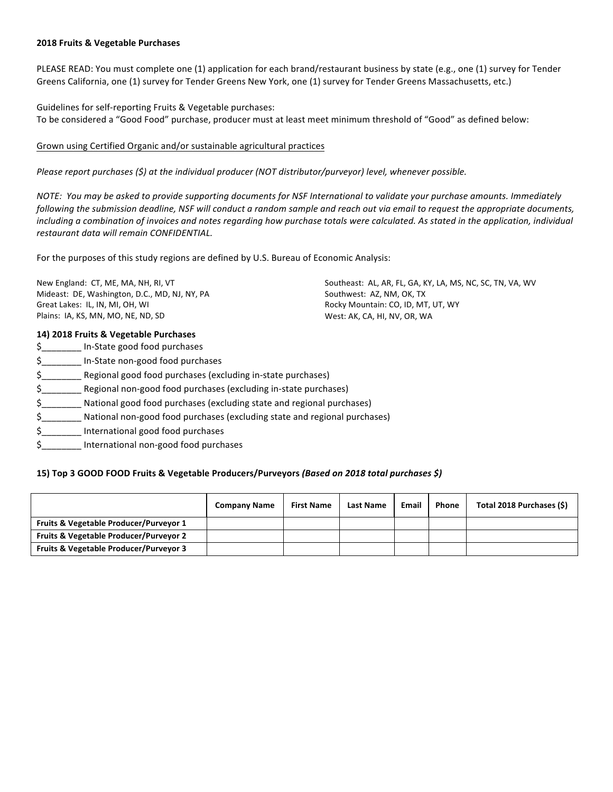### **2018 Fruits & Vegetable Purchases**

PLEASE READ: You must complete one (1) application for each brand/restaurant business by state (e.g., one (1) survey for Tender Greens California, one (1) survey for Tender Greens New York, one (1) survey for Tender Greens Massachusetts, etc.)

Guidelines for self-reporting Fruits & Vegetable purchases: To be considered a "Good Food" purchase, producer must at least meet minimum threshold of "Good" as defined below:

## Grown using Certified Organic and/or sustainable agricultural practices

*Please report purchases* (\$) at the individual producer (NOT distributor/purveyor) level, whenever possible.

*NOTE:* You may be asked to provide supporting documents for NSF International to validate your purchase amounts. Immediately *following* the submission deadline, NSF will conduct a random sample and reach out via email to request the appropriate documents, *including a combination of invoices and notes regarding how purchase totals were calculated.* As stated in the application, individual *restaurant data will remain CONFIDENTIAL.*

For the purposes of this study regions are defined by U.S. Bureau of Economic Analysis:

New England: CT, ME, MA, NH, RI, VT Mideast: DE, Washington, D.C., MD, NJ, NY, PA Great Lakes: IL, IN, MI, OH, WI Plains: IA, KS, MN, MO, NE, ND, SD

Southeast: AL, AR, FL, GA, KY, LA, MS, NC, SC, TN, VA, WV Southwest: AZ, NM, OK, TX Rocky Mountain: CO, ID, MT, UT, WY West: AK, CA, HI, NV, OR, WA

### **14) 2018 Fruits & Vegetable Purchases**

| \$ | In-State good food purchases                                              |
|----|---------------------------------------------------------------------------|
| \$ | In-State non-good food purchases                                          |
| \$ | Regional good food purchases (excluding in-state purchases)               |
| \$ | Regional non-good food purchases (excluding in-state purchases)           |
| \$ | National good food purchases (excluding state and regional purchases)     |
| \$ | National non-good food purchases (excluding state and regional purchases) |
| Ś  | International good food purchases                                         |
| \$ | International non-good food purchases                                     |

# 15) Top 3 GOOD FOOD Fruits & Vegetable Producers/Purveyors (Based on 2018 total purchases \$)

|                                                   | <b>Company Name</b> | <b>First Name</b> | <b>Last Name</b> | Email | Phone | Total 2018 Purchases (\$) |
|---------------------------------------------------|---------------------|-------------------|------------------|-------|-------|---------------------------|
| Fruits & Vegetable Producer/Purveyor 1            |                     |                   |                  |       |       |                           |
| <b>Fruits &amp; Vegetable Producer/Purveyor 2</b> |                     |                   |                  |       |       |                           |
| <b>Fruits &amp; Vegetable Producer/Purveyor 3</b> |                     |                   |                  |       |       |                           |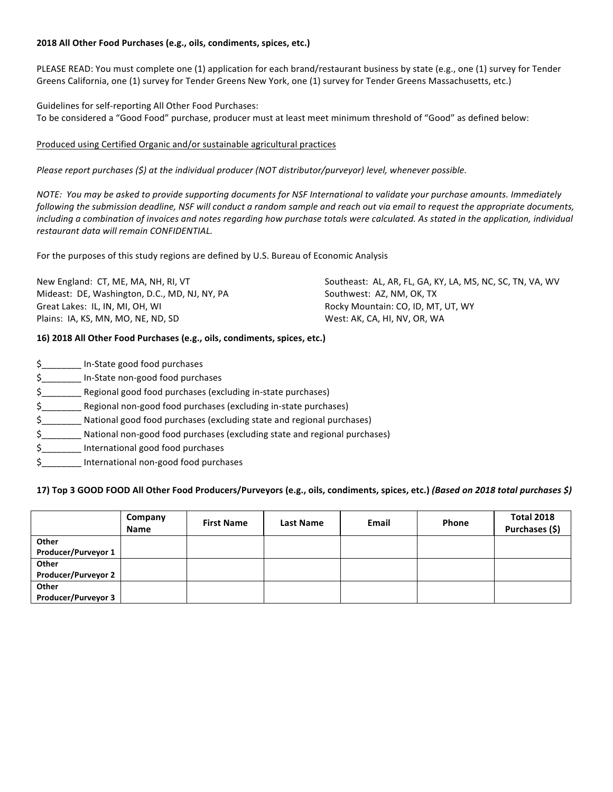# 2018 All Other Food Purchases (e.g., oils, condiments, spices, etc.)

PLEASE READ: You must complete one (1) application for each brand/restaurant business by state (e.g., one (1) survey for Tender Greens California, one (1) survey for Tender Greens New York, one (1) survey for Tender Greens Massachusetts, etc.)

Guidelines for self-reporting All Other Food Purchases: To be considered a "Good Food" purchase, producer must at least meet minimum threshold of "Good" as defined below:

# Produced using Certified Organic and/or sustainable agricultural practices

*Please report purchases* (\$) at the individual producer (NOT distributor/purveyor) level, whenever possible.

*NOTE: You may be asked to provide supporting documents for NSF International to validate your purchase amounts. Immediately* following the submission deadline, NSF will conduct a random sample and reach out via email to request the appropriate documents, including a combination of invoices and notes regarding how purchase totals were calculated. As stated in the application, individual *restaurant data will remain CONFIDENTIAL.*

For the purposes of this study regions are defined by U.S. Bureau of Economic Analysis

| New England: CT, ME, MA, NH, RI, VT           | Southeast: AL, AR, FL, GA, KY, LA, MS, NC, SC, TN, VA, WV |
|-----------------------------------------------|-----------------------------------------------------------|
| Mideast: DE, Washington, D.C., MD, NJ, NY, PA | Southwest: AZ, NM, OK, TX                                 |
| Great Lakes: IL, IN, MI, OH, WI               | Rocky Mountain: CO, ID, MT, UT, WY                        |
| Plains: IA, KS, MN, MO, NE, ND, SD            | West: AK, CA, HI, NV, OR, WA                              |

# **16) 2018 All Other Food Purchases (e.g., oils, condiments, spices, etc.)**

| \$<br>In-State good food purchases                                              |
|---------------------------------------------------------------------------------|
| \$<br>In-State non-good food purchases                                          |
| \$<br>Regional good food purchases (excluding in-state purchases)               |
| \$<br>Regional non-good food purchases (excluding in-state purchases)           |
| \$<br>National good food purchases (excluding state and regional purchases)     |
| \$<br>National non-good food purchases (excluding state and regional purchases) |
| \$<br>International good food purchases                                         |
| \$<br>International non-good food purchases                                     |

# **17) Top 3 GOOD FOOD All Other Food Producers/Purveyors (e.g., oils, condiments, spices, etc.)** *(Based on 2018 total purchases \$)*

|                            | Company<br><b>Name</b> | <b>First Name</b> | <b>Last Name</b> | Email | Phone | <b>Total 2018</b><br>Purchases (\$) |
|----------------------------|------------------------|-------------------|------------------|-------|-------|-------------------------------------|
| Other                      |                        |                   |                  |       |       |                                     |
| Producer/Purveyor 1        |                        |                   |                  |       |       |                                     |
| Other                      |                        |                   |                  |       |       |                                     |
| <b>Producer/Purveyor 2</b> |                        |                   |                  |       |       |                                     |
| Other                      |                        |                   |                  |       |       |                                     |
| <b>Producer/Purveyor 3</b> |                        |                   |                  |       |       |                                     |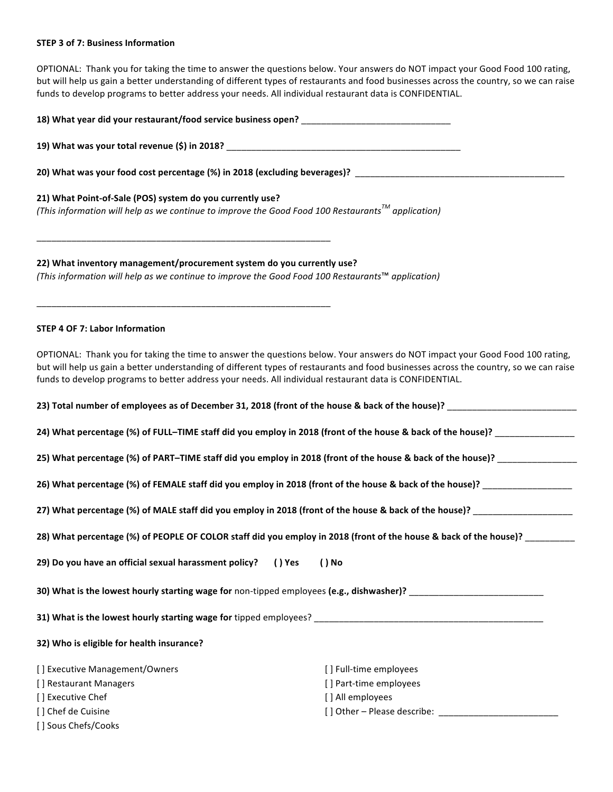#### **STEP 3 of 7: Business Information**

OPTIONAL: Thank you for taking the time to answer the questions below. Your answers do NOT impact your Good Food 100 rating, but will help us gain a better understanding of different types of restaurants and food businesses across the country, so we can raise funds to develop programs to better address your needs. All individual restaurant data is CONFIDENTIAL.

| 20) What was your food cost percentage (%) in 2018 (excluding beverages)? __________________________                                                                                                                                             |                                                                                                                                                                                                                                                                        |  |
|--------------------------------------------------------------------------------------------------------------------------------------------------------------------------------------------------------------------------------------------------|------------------------------------------------------------------------------------------------------------------------------------------------------------------------------------------------------------------------------------------------------------------------|--|
| 21) What Point-of-Sale (POS) system do you currently use?<br>(This information will help as we continue to improve the Good Food 100 Restaurants <sup>™</sup> application)<br><u> 1989 - Johann Barbara, margaret eta biztanleria (h. 1989).</u> |                                                                                                                                                                                                                                                                        |  |
| 22) What inventory management/procurement system do you currently use?<br>(This information will help as we continue to improve the Good Food 100 Restaurants™ application)                                                                      |                                                                                                                                                                                                                                                                        |  |
| <b>STEP 4 OF 7: Labor Information</b>                                                                                                                                                                                                            |                                                                                                                                                                                                                                                                        |  |
| funds to develop programs to better address your needs. All individual restaurant data is CONFIDENTIAL.                                                                                                                                          | OPTIONAL: Thank you for taking the time to answer the questions below. Your answers do NOT impact your Good Food 100 rating,<br>but will help us gain a better understanding of different types of restaurants and food businesses across the country, so we can raise |  |
|                                                                                                                                                                                                                                                  | 23) Total number of employees as of December 31, 2018 (front of the house & back of the house)? Lawrence and the house of the house of the house of the house of the house of the house of the house of the house of the house                                         |  |
|                                                                                                                                                                                                                                                  | 24) What percentage (%) of FULL-TIME staff did you employ in 2018 (front of the house & back of the house)? ________________                                                                                                                                           |  |
|                                                                                                                                                                                                                                                  | 25) What percentage (%) of PART-TIME staff did you employ in 2018 (front of the house & back of the house)? _________________                                                                                                                                          |  |
|                                                                                                                                                                                                                                                  | 26) What percentage (%) of FEMALE staff did you employ in 2018 (front of the house & back of the house)? ____________________                                                                                                                                          |  |
|                                                                                                                                                                                                                                                  |                                                                                                                                                                                                                                                                        |  |
|                                                                                                                                                                                                                                                  | 28) What percentage (%) of PEOPLE OF COLOR staff did you employ in 2018 (front of the house & back of the house)? _________                                                                                                                                            |  |
| 29) Do you have an official sexual harassment policy? () Yes () No                                                                                                                                                                               |                                                                                                                                                                                                                                                                        |  |
| 30) What is the lowest hourly starting wage for non-tipped employees (e.g., dishwasher)? ___________________________                                                                                                                             |                                                                                                                                                                                                                                                                        |  |
|                                                                                                                                                                                                                                                  |                                                                                                                                                                                                                                                                        |  |
| 32) Who is eligible for health insurance?                                                                                                                                                                                                        |                                                                                                                                                                                                                                                                        |  |
| [] Executive Management/Owners<br>[] Restaurant Managers<br>[] Executive Chef<br>[] Chef de Cuisine<br>[] Sous Chefs/Cooks                                                                                                                       | [] Full-time employees<br>[] Part-time employees<br>[] All employees                                                                                                                                                                                                   |  |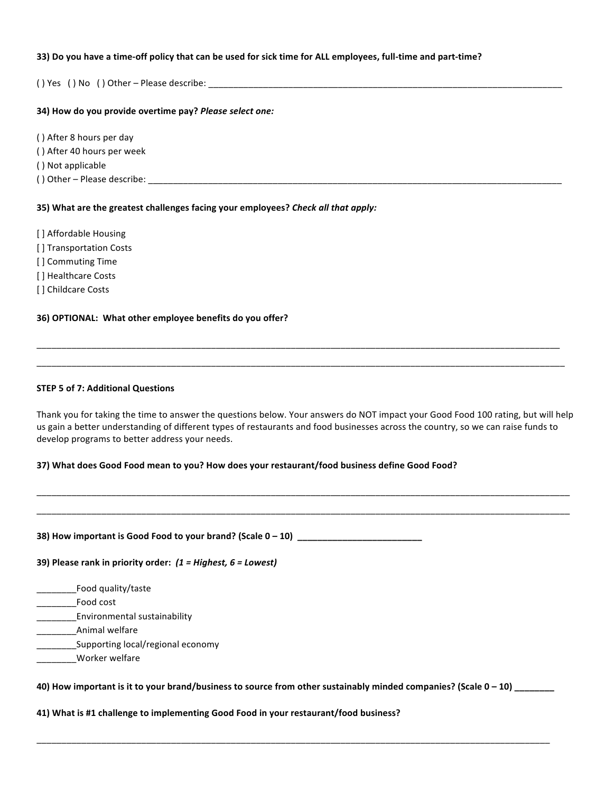#### **33)** Do you have a time-off policy that can be used for sick time for ALL employees, full-time and part-time?

( ) Yes ( ) No ( ) Other – Please describe: \_\_\_\_\_\_\_\_\_\_\_\_\_\_\_\_\_\_\_\_\_\_\_\_\_\_\_\_\_\_\_\_\_\_\_\_\_\_\_\_\_\_\_\_\_\_\_\_\_\_\_\_\_\_\_\_\_\_\_\_\_\_\_\_\_\_\_\_\_\_\_

## **34)** How do you provide overtime pay? *Please select one:*

() After 8 hours per day

() After 40 hours per week

() Not applicable

() Other – Please describe:

### **35)** What are the greatest challenges facing your employees? *Check all that apply:*

[] Affordable Housing [] Transportation Costs [] Commuting Time [] Healthcare Costs [] Childcare Costs

# **36) OPTIONAL: What other employee benefits do you offer?**

### **STEP 5 of 7: Additional Questions**

Thank you for taking the time to answer the questions below. Your answers do NOT impact your Good Food 100 rating, but will help us gain a better understanding of different types of restaurants and food businesses across the country, so we can raise funds to develop programs to better address your needs.

\_\_\_\_\_\_\_\_\_\_\_\_\_\_\_\_\_\_\_\_\_\_\_\_\_\_\_\_\_\_\_\_\_\_\_\_\_\_\_\_\_\_\_\_\_\_\_\_\_\_\_\_\_\_\_\_\_\_\_\_\_\_\_\_\_\_\_\_\_\_\_\_\_\_\_\_\_\_\_\_\_\_\_\_\_\_\_\_\_\_\_\_\_\_\_\_\_\_\_\_\_\_\_\_\_\_\_ \_\_\_\_\_\_\_\_\_\_\_\_\_\_\_\_\_\_\_\_\_\_\_\_\_\_\_\_\_\_\_\_\_\_\_\_\_\_\_\_\_\_\_\_\_\_\_\_\_\_\_\_\_\_\_\_\_\_\_\_\_\_\_\_\_\_\_\_\_\_\_\_\_\_\_\_\_\_\_\_\_\_\_\_\_\_\_\_\_\_\_\_\_\_\_\_\_\_\_\_\_\_\_\_\_\_\_

\_\_\_\_\_\_\_\_\_\_\_\_\_\_\_\_\_\_\_\_\_\_\_\_\_\_\_\_\_\_\_\_\_\_\_\_\_\_\_\_\_\_\_\_\_\_\_\_\_\_\_\_\_\_\_\_\_\_\_\_\_\_\_\_\_\_\_\_\_\_\_\_\_\_\_\_\_\_\_\_\_\_\_\_\_\_\_\_\_\_\_\_\_\_\_\_\_\_\_\_\_\_\_\_\_ \_\_\_\_\_\_\_\_\_\_\_\_\_\_\_\_\_\_\_\_\_\_\_\_\_\_\_\_\_\_\_\_\_\_\_\_\_\_\_\_\_\_\_\_\_\_\_\_\_\_\_\_\_\_\_\_\_\_\_\_\_\_\_\_\_\_\_\_\_\_\_\_\_\_\_\_\_\_\_\_\_\_\_\_\_\_\_\_\_\_\_\_\_\_\_\_\_\_\_\_\_\_\_\_\_\_

#### 37) What does Good Food mean to you? How does your restaurant/food business define Good Food?

#### **38) How important is Good Food to your brand? (Scale 0 – 10) \_\_\_\_\_\_\_\_\_\_\_\_\_\_\_\_\_\_\_\_\_\_\_\_\_**

#### **39)** Please rank in priority order:  $(1 =$  Highest, 6 = Lowest)

\_\_\_\_\_\_\_\_Food quality/taste

\_\_\_\_\_\_\_\_Food cost

**Environmental sustainability** 

\_\_\_\_\_\_\_\_Animal welfare

Supporting local/regional economy

\_\_\_\_\_\_\_\_Worker welfare

40) How important is it to your brand/business to source from other sustainably minded companies? (Scale 0 - 10) \_\_\_\_\_\_\_\_

\_\_\_\_\_\_\_\_\_\_\_\_\_\_\_\_\_\_\_\_\_\_\_\_\_\_\_\_\_\_\_\_\_\_\_\_\_\_\_\_\_\_\_\_\_\_\_\_\_\_\_\_\_\_\_\_\_\_\_\_\_\_\_\_\_\_\_\_\_\_\_\_\_\_\_\_\_\_\_\_\_\_\_\_\_\_\_\_\_\_\_\_\_\_\_\_\_\_\_\_\_\_\_

41) What is #1 challenge to implementing Good Food in your restaurant/food business?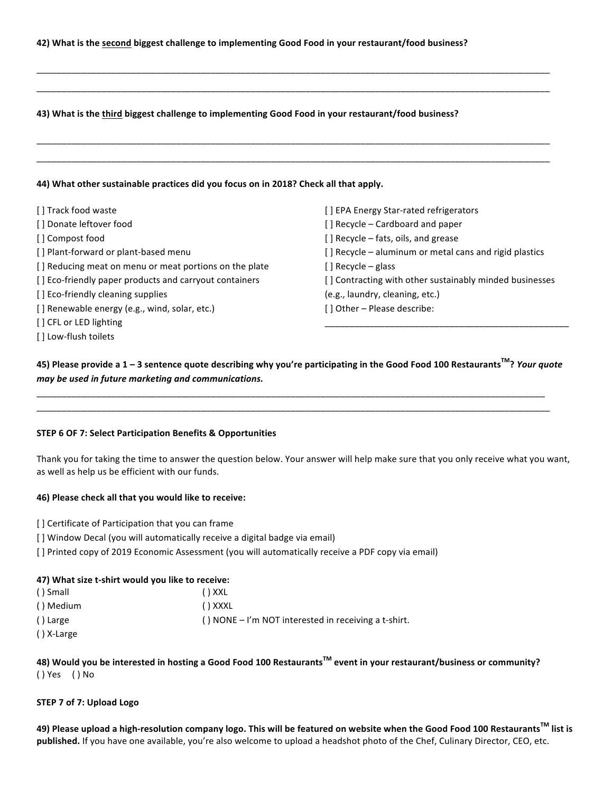#### 43) What is the third biggest challenge to implementing Good Food in your restaurant/food business?

#### **44)** What other sustainable practices did you focus on in 2018? Check all that apply.

| [] Track food waste                                    | [] EPA Energy Star-rated refrigerators                  |
|--------------------------------------------------------|---------------------------------------------------------|
| [] Donate leftover food                                | [] Recycle – Cardboard and paper                        |
| [] Compost food                                        | [] Recycle - fats, oils, and grease                     |
| [] Plant-forward or plant-based menu                   | [] Recycle - aluminum or metal cans and rigid plastics  |
| [] Reducing meat on menu or meat portions on the plate | $[ ]$ Recycle – glass                                   |
| [] Eco-friendly paper products and carryout containers | [] Contracting with other sustainably minded businesses |
| [] Eco-friendly cleaning supplies                      | (e.g., laundry, cleaning, etc.)                         |
| [] Renewable energy (e.g., wind, solar, etc.)          | [] Other - Please describe:                             |
| [ ] CFL or LED lighting                                |                                                         |
| [] Low-flush toilets                                   |                                                         |

\_\_\_\_\_\_\_\_\_\_\_\_\_\_\_\_\_\_\_\_\_\_\_\_\_\_\_\_\_\_\_\_\_\_\_\_\_\_\_\_\_\_\_\_\_\_\_\_\_\_\_\_\_\_\_\_\_\_\_\_\_\_\_\_\_\_\_\_\_\_\_\_\_\_\_\_\_\_\_\_\_\_\_\_\_\_\_\_\_\_\_\_\_\_\_\_\_\_\_\_\_\_\_ \_\_\_\_\_\_\_\_\_\_\_\_\_\_\_\_\_\_\_\_\_\_\_\_\_\_\_\_\_\_\_\_\_\_\_\_\_\_\_\_\_\_\_\_\_\_\_\_\_\_\_\_\_\_\_\_\_\_\_\_\_\_\_\_\_\_\_\_\_\_\_\_\_\_\_\_\_\_\_\_\_\_\_\_\_\_\_\_\_\_\_\_\_\_\_\_\_\_\_\_\_\_\_

\_\_\_\_\_\_\_\_\_\_\_\_\_\_\_\_\_\_\_\_\_\_\_\_\_\_\_\_\_\_\_\_\_\_\_\_\_\_\_\_\_\_\_\_\_\_\_\_\_\_\_\_\_\_\_\_\_\_\_\_\_\_\_\_\_\_\_\_\_\_\_\_\_\_\_\_\_\_\_\_\_\_\_\_\_\_\_\_\_\_\_\_\_\_\_\_\_\_\_\_\_\_\_ \_\_\_\_\_\_\_\_\_\_\_\_\_\_\_\_\_\_\_\_\_\_\_\_\_\_\_\_\_\_\_\_\_\_\_\_\_\_\_\_\_\_\_\_\_\_\_\_\_\_\_\_\_\_\_\_\_\_\_\_\_\_\_\_\_\_\_\_\_\_\_\_\_\_\_\_\_\_\_\_\_\_\_\_\_\_\_\_\_\_\_\_\_\_\_\_\_\_\_\_\_\_\_

**45)** Please provide a 1 − 3 sentence quote describing why you're participating in the Good Food 100 Restaurants<sup>™</sup>? Your *quote may be used in future marketing and communications.*

\_\_\_\_\_\_\_\_\_\_\_\_\_\_\_\_\_\_\_\_\_\_\_\_\_\_\_\_\_\_\_\_\_\_\_\_\_\_\_\_\_\_\_\_\_\_\_\_\_\_\_\_\_\_\_\_\_\_\_\_\_\_\_\_\_\_\_\_\_\_\_\_\_\_\_\_\_\_\_\_\_\_\_\_\_\_\_\_\_\_\_\_\_\_\_\_\_\_\_\_\_\_ \_\_\_\_\_\_\_\_\_\_\_\_\_\_\_\_\_\_\_\_\_\_\_\_\_\_\_\_\_\_\_\_\_\_\_\_\_\_\_\_\_\_\_\_\_\_\_\_\_\_\_\_\_\_\_\_\_\_\_\_\_\_\_\_\_\_\_\_\_\_\_\_\_\_\_\_\_\_\_\_\_\_\_\_\_\_\_\_\_\_\_\_\_\_\_\_\_\_\_\_\_\_\_

#### **STEP 6 OF 7: Select Participation Benefits & Opportunities**

Thank you for taking the time to answer the question below. Your answer will help make sure that you only receive what you want, as well as help us be efficient with our funds.

#### **46) Please check all that you would like to receive:**

- [] Certificate of Participation that you can frame
- [] Window Decal (you will automatically receive a digital badge via email)
- [] Printed copy of 2019 Economic Assessment (you will automatically receive a PDF copy via email)

#### **47)** What size t-shirt would you like to receive:

| ( ) Small  | () XXL                                                  |
|------------|---------------------------------------------------------|
| () Medium  | () XXXL                                                 |
| () Large   | $( )$ NONE – I'm NOT interested in receiving a t-shirt. |
| () X-Large |                                                         |

# **48)** Would you be interested in hosting a Good Food 100 Restaurants<sup>™</sup> event in your restaurant/business or community? ( ) Yes ( ) No

#### **STEP 7 of 7: Upload Logo**

**49)** Please upload a high-resolution company logo. This will be featured on website when the Good Food 100 Restaurants<sup>™</sup> list is published. If you have one available, you're also welcome to upload a headshot photo of the Chef, Culinary Director, CEO, etc.